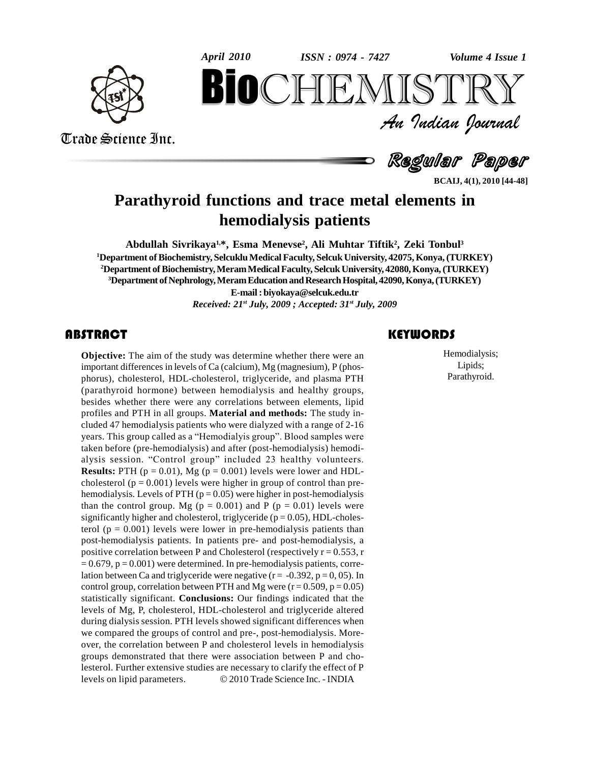



Trade Science Inc.

Trade Science Inc.

An Indian Journal<br>Regular Paper *Volume 4 Issue 1*<br> $\begin{array}{c} \text{Volume 4} \text{I} \\ \text{S} \text{I} \text{R} \text{R} \text{V} \end{array}$ **BIOCHEMISTRY**<br>
An Indian Iournal<br>
Regular Paper<br>
functions and trace metal elements in<br>
hemodialysis patients

**BCAIJ, 4(1), 2010 [44-48]**

# **Parathyroid functions and trace metal elements in hemodialysis patients**

**Abdullah Sivrikaya 1,\*, Esma Menevse 2 , Ali Muhtar Tiftik 2 , Zeki Tonbul<sup>3</sup> <sup>1</sup>Department ofBiochemistry, SelcukluMedical Faculty, SelcukUniversity, 42075, Konya,(TURKEY) <sup>2</sup>Department ofBiochemistry,MeramMedical Faculty, SelcukUniversity, 42080,Konya,(TURKEY) <sup>3</sup>Department ofNephrology,MeramEducation andResearchHospital,42090,Konya,(TURKEY) E-mail: [biyokaya@selcuk.edu.tr](mailto:biyokaya@selcuk.edu.tr)** *Received: 21 st July, 2009 ; Accepted: 31 st July, 2009*

## **ABSTRACT**

**Objective:** The aim of t<br>important differences in le<br>phorus), cholesterol, HI **Objective:** The aim of the study was determine whether there were an important differences in levels of Ca (calcium), Mg (magnesium), P (phos phorus), cholesterol, HDL-cholesterol, triglyceride, and plasma PTH (parathyroid hormone) between hemodialysis and healthy groups, besides whether there were any correlations between elements, lipid profiles and PTH in all groups. **Material and methods:** The study in cluded 47 hemodialysis patients who were dialyzed with a range of 2-16 years. This group called as a "Hemodialyis group". Blood samples were taken before (pre-hemodialysis) and after (post-hemodialysis) hemodi alysis session. "Control group" included 23 healthy volunteers. **Results:** PTH  $(p = 0.01)$ , Mg  $(p = 0.001)$  levels were lower and HDLcholesterol ( $p = 0.001$ ) levels were higher in group of control than prehemodialysis. Levels of PTH ( $p = 0.05$ ) were higher in post-hemodialysis than the control group. Mg ( $p = 0.001$ ) and P ( $p = 0.01$ ) levels were significantly higher and cholesterol, triglyceride ( $p = 0.05$ ), HDL-cholesterol ( $p = 0.001$ ) levels were lower in pre-hemodialysis patients than post-hemodialysis patients. In patients pre- and post-hemodialysis, a positive correlation between P and Cholesterol (respectively  $r = 0.553$ , r  $= 0.679$ ,  $p = 0.001$ ) were determined. In pre-hemodialysis patients, correlation between Ca and triglyceride were negative  $(r = -0.392, p = 0.05)$ . In control group, correlation between PTH and Mg were  $(r = 0.509, p = 0.05)$ statistically significant. **Conclusions:** Our findings indicated that the levels of Mg, P, cholesterol, HDL-cholesterol and triglyceride altered during dialysis session. PTH levels showed significant differences when we compared the groups of control and pre-, post-hemodialysis. More over, the correlation between P and cholesterol levels in hemodialysis groups demonstrated that there were association between P and cholesterol. Further extensive studies are necessary to clarify the effect of P groups demonstrated that there were association between P and cho-<br>lesterol. Further extensive studies are necessary to clarify the effect of P<br>levels on lipid parameters. © 2010 Trade Science Inc. - INDIA

Hemodialysis<br>
Hemodialysis<br>
Lipids;<br>
Parathyroid. Hemodialysis; Lipids; Parathyroid.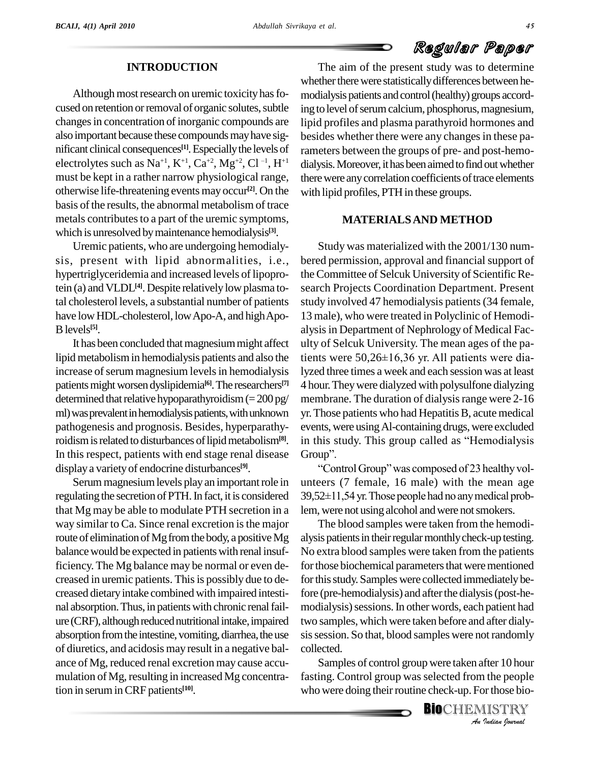### **INTRODUCTION**

Although most research on uremic toxicity has focused on retention or removal of organic solutes, subtle changes in concentration of inorganic compounds are also important because these compounds may have significant clinical consequences<sup>[1]</sup>. Especially the levels of ram mificant clinical consequences<sup>[1]</sup>. Especially the levels of randelectrolytes such as  $Na^{+1}$ ,  $K^{+1}$ ,  $Ca^{+2}$ ,  $Mg^{+2}$ ,  $Cl^{-1}$ ,  $H^{+1}$  dia must be kept in a rather narrow physiological range, otherwise life-threatening events may occur **[2]**. On the basis of the results, the abnormal metabolism of trace metals contributes to a part of the uremic symptoms, which is unresolved bymaintenance hemodialysis **[3]**.

Uremic patients, who are undergoing hemodialy sis, present with lipid abnormalities, i.e., hypertriglyceridemia and increased levels of lipoprotein (a) and VLDL<sup>[4]</sup>. Despite relatively low plasma to- sea tal cholesterol levels, a substantial number of patients have low HDL-cholesterol, low Apo-A, and high Apo-Blevels **[5]**.

It has been concluded that magnesium might affect lipid metabolism in hemodialysis patients and also the tients were  $50,26\pm16,36$  yr. All patients were diaincrease of serum magnesium levels in hemodialysis patients might worsen dyslipidemia<sup>[6]</sup>. The researchers<sup>[7]</sup> 4 ho determined that relative hypoparathyroidism  $(=200 \text{ pg/m})$ ml) was prevalent in hemodialysis patients, with unknown pathogenesis and prognosis. Besides, hyperparathyroidismisrelated to disturbances oflipidmetabolism**[8]**. In this respect, patients with end stage renal disease Group". displaya varietyof endocrine disturbances **[9]**.

Serum magnesium levels play an important role in regulating the secretion of PTH. In fact, it is considered  $39,52\pm11,54$  yr. Those people had no any medical probthat Mg may be able to modulate PTH secretion in a way similar to Ca. Since renal excretion is the major route of elimination of Mg from the body, a positive Mg balance would be expected in patients with renal insufficiency. The Mg balance may be normal or even de creased in uremic patients. This is possibly due to decreased dietaryintake combined with impaired intesti nal absorption. Thus, in patients with chronic renal failure (CRF), although reduced nutritional intake, impaired absorption from the intestine, vomiting, diarrhea, the use of diuretics, and acidosis may result in a negative bal ance of Mg, reduced renal excretion may cause accu mulation of Mg, resulting in increased Mg concentration in seruminCRF patients **[10]**.

The aim of the present study was to determine whether there were statistically differences between hemodialysis patients and control (healthy) groups according to level of serum calcium, phosphorus, magnesium, lipid profiles and plasma parathyroid hormones and besides whether there were any changes in these parameters between the groups of pre- and post-hemo dialysis. Moreover, it has been aimed to find out whether there were any correlation coefficients of trace elements with lipid profiles, PTH in these groups.

### **MATERIALSAND METHOD**

Study was materialized with the 2001/130 num bered permission, approval and financial support of the Committee of Selcuk University of Scientific Research Projects Coordination Department. Present study involved 47 hemodialysis patients(34 female, 13 male), who were treated in Polyclinic of Hemodi alysis in Department of Nephrology of Medical Fac-<br>ulty of Selcuk University. The mean ages of the pa-<br>tients were 50,26±16,36 yr. All patients were diaulty of Selcuk University. The mean ages of the palyzed three times a week and each session was at least 4 hour.Theywere dialyzedwith polysulfone dialyzing membrane. The duration of dialysis range were 2-16 yr. Those patients who had Hepatitis B, acute medical<br>events, were using Al-containing drugs, were excluded<br>in this study. This group called as "Hemodialysis events, were using Al-containing drugs, were excluded<br>in this study. This group called as "Hemodialysis<br>Group". in this study. This group called as "Hemodialysis<br>Group".<br>"Control Group" was composed of 23 healthy vol-

unteers (7 female, 16 male) with the mean age "Control Group" was composed of 23 healthy volunteers (7 female, 16 male) with the mean age 39,52±11,54 yr. Those people had no any medical problem, were not using alcohol and were not smokers.

sis session. So that, blood samples were not randomly The blood samples were taken from the hemodi alysis patients in their regular monthly check-up testing. No extra blood samples were taken from the patients for those biochemical parameters that were mentioned for this study. Samples were collected immediately before (pre-hemodialysis) and afterthe dialysis(post-he modialysis) sessions. In other words, each patient had two samples, which were taken before and after dialycollected.

*I*<br>*I* the people<br>*I* ISTRY<br>*Indian Iournal* Samples of control group were taken after 10 hour fasting. Control group was selected from the people who were doing their routine check-up. For those bio-

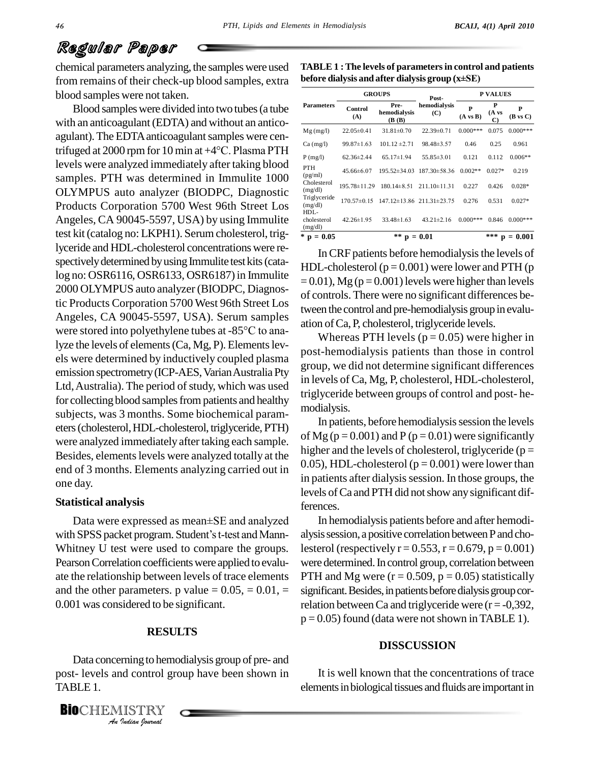chemical parameters analyzing, the samples were used from remains of their check-up blood samples, extra blood samples were not taken.

Blood sampleswere divided into two tubes(a tube with an anticoagulant (EDTA) and without an anticoagulant). The EDTA anticoagulant samples were centrifuged at <sup>2000</sup> rpm for <sup>10</sup> min at +4°C. Plasma PTH levels were analyzed immediately after taking blood samples. PTH was determined in Immulite 1000 OLYMPUS auto analyzer (BIODPC, Diagnostic Products Corporation 5700 West 96th Street Los Angeles, CA 90045-5597, USA) by using Immulite test kit(catalog no: LKPH1). Serumcholesterol, triglyceride and HDL-cholesterol concentrations were re spectively determined by using Immulite test kits (catalog no: OSR6116, OSR6133, OSR6187) in Immulite 2000 OLYMPUS auto analyzer (BIODPC, Diagnostic Products Corporation 5700 West 96th Street Los<br>Angeles, CA 90045-5597, USA). Serum samples<br>were stored into polyethylene tubes at -85°C to ana-Angeles, CA 90045-5597, USA). Serum samples lyze the levels of elements (Ca, Mg, P). Elements levels were determined by inductively coupled plasma emission spectrometry (ICP-AES, Varian Australia Pty Ltd, Australia). The period of study, which was used for collecting blood samples from patients and healthy subjects, was 3 months. Some biochemical param eters(cholesterol,HDL-cholesterol, triglyceride, PTH) were analyzed immediatelyafter taking each sample. Besides, elements levels were analyzed totally at the end of 3 months. Elements analyzing carried out in one day.

#### **Statistical analysis**

Data were expressed as mean±SE and analyzed with SPSS packet program. Student's t-test and Mann-Whitney U test were used to compare the groups*.* Pearson Correlation coefficients were applied to evaluate the relationship between levels of trace elements and the other parameters. p value  $= 0.05, = 0.01, =$ 0.001 was considered to be significant.

### **RESULTS**

*India* control grading<br>*ISTRY*<br>*Indian hournal* Data concerning to hemodialysis group of pre- and post- levels and control group have been shown in TABLE 1.

**TABLE 1 :The levels of parametersin control and patients before dialysis and after dialysis group (x±SE)**

| <b>Parameters</b>                 | <b>GROUPS</b>      |                                                        | Post-                                 | <b>P VALUES</b>          |                             |                          |
|-----------------------------------|--------------------|--------------------------------------------------------|---------------------------------------|--------------------------|-----------------------------|--------------------------|
|                                   | Control<br>(A)     | Pre-<br><b>hemodialysis</b><br>( <b>B</b> ( <b>B</b> ) | hemodialysis<br>(C)                   | P<br>$(A \text{ vs } B)$ | P<br>$(A \text{ vs }$<br>C) | P<br>$(B \text{ vs } C)$ |
| $Mg$ (mg/l)                       | $22.05 \pm 0.41$   | $31.81 \pm 0.70$                                       | $22.39\pm0.71$                        | $0.000***$               | 0.075                       | $0.000***$               |
| $Ca$ (mg/l)                       | $99.87 \pm 1.63$   | $101.12 \pm 2.71$                                      | $98.48 \pm 3.57$                      | 0.46                     | 0.25                        | 0.961                    |
| P(mg/l)                           | $62.36 \pm 2.44$   | $65.17 \pm 1.94$                                       | $55.85 \pm 3.01$                      | 0.121                    | 0.112                       | $0.006**$                |
| <b>PTH</b><br>(pg/ml)             | $45.66\pm 6.07$    | $195.52 \pm 34.03$                                     | $187.30 \pm 58.36$                    | $0.002**$                | $0.027*$                    | 0.219                    |
| Cholesterol<br>(mg/dl)            | $195.78 \pm 11.29$ | $180.14 \pm 8.51$                                      | $211.10 \pm 11.31$                    | 0.227                    | 0.426                       | $0.028*$                 |
| Triglyceride<br>(mg/dl)           | $170.57 \pm 0.15$  |                                                        | $147.12 \pm 13.86$ $211.31 \pm 23.75$ | 0.276                    | 0.531                       | $0.027*$                 |
| $HDL -$<br>cholesterol<br>(mg/dl) | $42.26 \pm 1.95$   | $33.48\pm1.63$                                         | $43.21 \pm 2.16$                      | $0.000***$               | 0.846                       | $0.000***$               |
| $*$ p<br>$= 0.05$                 | **<br>$p = 0.01$   |                                                        |                                       |                          | ***<br>D                    | $= 0.001$                |

In CRF patients before hemodialysis the levels of HDL-cholesterol  $(p = 0.001)$  were lower and PTH (p  $= 0.01$ ), Mg (p = 0.001) levels were higher than levels of controls. There were no significant differences between the control and pre-hemodialysis group in evalu ation ofCa, P, cholesterol, triglyceride levels.

Whereas PTH levels  $(p = 0.05)$  were higher in post-hemodialysis patients than those in control group, we did not determine significant differences in levels of Ca, Mg, P, cholesterol, HDL-cholesterol, triglyceride between groups of control and post- he modialysis.

In patients, before hemodialysis session the levels of Mg ( $p = 0.001$ ) and P ( $p = 0.01$ ) were significantly higher and the levels of cholesterol, triglyceride ( $p =$ 0.05), HDL-cholesterol ( $p = 0.001$ ) were lower than in patients after dialysis session. In those groups, the levels ofCa and PTH did notshow anysignificant differences.

In hemodialysis patients before and after hemodi alysis session, a positive correlation between P and cholesterol (respectively  $r = 0.553$ ,  $r = 0.679$ ,  $p = 0.001$ ) were determined.In control group, correlation between PTH and Mg were  $(r = 0.509, p = 0.05)$  statistically significant. Besides, in patients before dialysis group correlation between Ca and triglyceride were  $(r = -0.392)$ ,  $p = 0.05$ ) found (data were not shown in TABLE 1).

### **DISSCUSSION**

It is well known that the concentrations of trace elements in biological tissues and fluids are important in

**BIO**CHEMISTRY<br>An Indian Iournal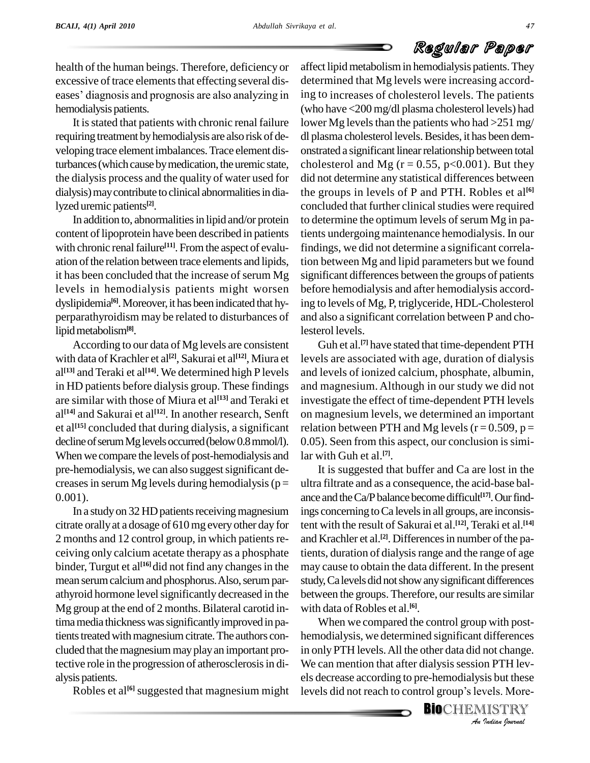health of the human beings. Therefore, deficiency or excessive of trace elements that effecting several diseases' diagnosis and prognosis are also analyzing in hemodialysis patients.

It is stated that patients with chronic renal failure requiring treatment by hemodialysis are also risk of developing trace element imbalances. Trace element disturbances (which cause by medication, the uremic state, the dialysis process and the quality of water used for dialysis) may contribute to clinical abnormalities in dialyzed uremic patients **[2]**.

In addition to, abnormalities in lipid and/or protein content of lipoprotein have been described in patients with chronic renal failure<sup>[11]</sup>. From the aspect of evalu-<br>find ation of the relation between trace elements and lipids, it has been concluded that the increase of serum Mg levels in hemodialysis patients might worsen dyslipidemia<sup>[6]</sup>. Moreover, it has been indicated that hy- ing perparathyroidism may be related to disturbances of lipidmetabolism**[8]**.

According to our data of Mg levels are consistent with data of Krachler et al **[2]**, Sakurai et al **[12]**, Miura et al<sup>[13]</sup> and Teraki et al<sup>[14]</sup>. We determined high P levels and l in HD patients before dialysis group. These findings are similar with those of Miura et al **[13]** and Teraki et al<sup>[14]</sup> and Sakurai et al<sup>[12]</sup>. In another research, Senft on et al<sup>[15]</sup> concluded that during dialysis, a significant rel decline of serum Mg levels occurred (below 0.8 mmol/l). When we compare the levels of post-hemodialysis and pre-hemodialysis, we can also suggest significant decreases in serum Mg levels during hemodialysis ( $p =$ 0.001).

In a study on 32 HD patients receiving magnesium citrate orallyat a dosage of 610mg everyother day for 2 months and 12 control group, in which patients receiving only calcium acetate therapy as a phosphate binder, Turgut et al<sup>[16]</sup>did not find any changes in the may c mean serum calcium and phosphorus. Also, serum parathyroid hormone level significantly decreased in the Mg group at the end of 2 months. Bilateral carotid intima media thickness was significantly improved in patients treated with magnesium citrate. The authors concluded that the magnesium may play an important protective role in the progression of atherosclerosisin di-alysis patients.

Robles et al<sup>[6]</sup> suggested that magnesium might levels

affect lipidmetabolismin hemodialysis patients.They determined that Mg levels were increasing according to increases of cholesterol levels. The patients (who have <200 mg/dl plasma cholesterol levels) had lower Mg levels than the patients who had  $>251$  mg/ dl plasma cholesterol levels. Besides, it has been demonstrated a significant linear relationship between total cholesterol and Mg ( $r = 0.55$ ,  $p < 0.001$ ). But they did not determine any statistical differences between the groups in levels of P and PTH. Robles et al **[6]** concluded that further clinical studies were required to determine the optimum levels of serum Mg in patients undergoing maintenance hemodialysis. In our findings, we did not determine a significant correlation between Mg and lipid parameters but we found significant differences between the groups of patients before hemodialysis and after hemodialysis according to levels of Mg, P, triglyceride, HDL-Cholesterol and also a significant correlation between P and cholesterol levels.

Guh et al.<sup>[7]</sup> have stated that time-dependent PTH levels are associated with age, duration of dialysis and levels of ionized calcium, phosphate, albumin, and magnesium. Although in our study we did not investigate the effect of time-dependent PTH levels on magnesium levels, we determined an important relation between PTH and Mg levels ( $r = 0.509$ ,  $p =$ 0.05). Seen from this aspect, our conclusion is similar with Guh et al. **[7]**.

It is suggested that buffer and Ca are lost in the ultra filtrate and as a consequence, the acid-base bal ance and the Ca/P balance become difficult<sup>[17]</sup>. Our findings concerning to Ca levels in all groups, are inconsistent with the result of Sakurai et al. **[12]**, Teraki et al. **[14]** and Krachler et al.<sup>[2]</sup>. Differences in number of the patients, duration of dialysis range and the range of age may cause to obtain the data different. In the present study, Calevels did not show any significant differences between the groups. Therefore, our results are similar with data of Robles et al.<sup>[6]</sup>.

*An*hemodialysis, we determined significant differences *Indianal*<br>*In PTH levis but these*<br>*Vels. More-IISTRY*<br>*Indian hournal* When we compared the control group with post in only PTH levels.All the other data did not change. We can mention that after dialysis session PTH lev-<br>els decrease according to pre-hemodialysis but these<br>levels did not reach to control group's levels. Moreels decrease according to pre-hemodialysis but these

**BIO**CHEMISTRY<br>An Indian Journal